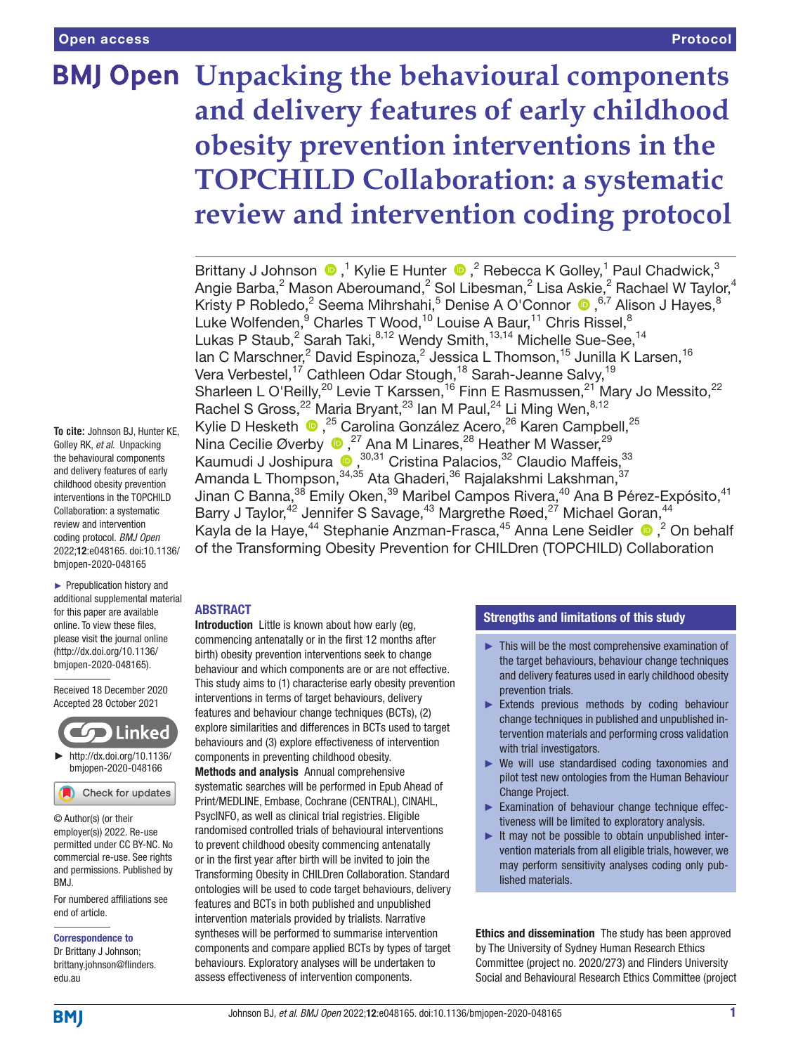# **BMJ Open Unpacking the behavioural components and delivery features of early childhood obesity prevention interventions in the TOPCHILD Collaboration: a systematic review and intervention coding protocol**

BrittanyJ Johnson  $\bigcirc$ ,<sup>1</sup> Kylie E Hunter  $\bigcirc$ ,<sup>2</sup> Rebecca K Golley,<sup>1</sup> Paul Chadwick,<sup>3</sup> Angie Barba, $^2$  Mason Aberoumand, $^2$  Sol Libesman, $^2$  Lisa Askie, $^2$  Rachael W Taylor, $^4$ Kristy P Robledo,<sup>2</sup> Seema Mihrshahi,<sup>5</sup> Denise A O'Connor (D, <sup>6,7</sup> Alison J Hayes, <sup>8</sup> Luke Wolfenden, <sup>9</sup> Charles T Wood, <sup>10</sup> Louise A Baur, <sup>11</sup> Chris Rissel, <sup>8</sup> Lukas P Staub, $^2$  Sarah Taki, $^{8,12}$  Wendy Smith, $^{13,14}$  Michelle Sue-See, $^{14}$ lan C Marschner,<sup>2</sup> David Espinoza,<sup>2</sup> Jessica L Thomson,<sup>15</sup> Junilla K Larsen,<sup>16</sup> Vera Verbestel,<sup>17</sup> Cathleen Odar Stough,<sup>18</sup> Sarah-Jeanne Salvy,<sup>19</sup> Sharleen L O'Reilly,<sup>20</sup> Levie T Karssen,<sup>16</sup> Finn E Rasmussen,<sup>21</sup> Mary Jo Messito,<sup>22</sup> Rachel S Gross,  $22$  Maria Bryant,  $23$  lan M Paul,  $24$  Li Ming Wen,  $8,12$ Kylie D Hesketh <sup>®</sup>,<sup>25</sup> Carolina González Acero,<sup>26</sup> Karen Campbell,<sup>25</sup> Nina Cecilie Øverby  $\bullet$ , <sup>27</sup> Ana M Linares, <sup>28</sup> Heather M Wasser, <sup>29</sup> Kaumudi J Joshipura (D, 30,31 Cristina Palacios, 32 Claudio Maffeis, 33 Amanda L Thompson,<sup>34,35</sup> Ata Ghaderi,<sup>36</sup> Rajalakshmi Lakshman,<sup>37</sup> Jinan C Banna,<sup>38</sup> Emily Oken,<sup>39</sup> Maribel Campos Rivera,<sup>40</sup> Ana B Pérez-Expósito,<sup>41</sup> Barry J Taylor,<sup>42</sup> Jennifer S Savage,<sup>43</sup> Margrethe Røed,<sup>27</sup> Michael Goran,<sup>44</sup> Kaylade la Haye,<sup>44</sup> Stephanie Anzman-Frasca,<sup>45</sup> Anna Lene Seidler <sup>®</sup>,<sup>2</sup> On behalf of the Transforming Obesity Prevention for CHILDren (TOPCHILD) Collaboration

**To cite:** Johnson BJ, Hunter KE, Golley RK, *et al*. Unpacking the behavioural components and delivery features of early childhood obesity prevention interventions in the TOPCHILD Collaboration: a systematic review and intervention coding protocol. *BMJ Open* 2022;12:e048165. doi:10.1136/ bmjopen-2020-048165

► Prepublication history and additional supplemental material for this paper are available online. To view these files, please visit the journal online [\(http://dx.doi.org/10.1136/](http://dx.doi.org/10.1136/bmjopen-2020-048165) [bmjopen-2020-048165](http://dx.doi.org/10.1136/bmjopen-2020-048165)).

Received 18 December 2020 Accepted 28 October 2021



### Check for updates

© Author(s) (or their employer(s)) 2022. Re-use permitted under CC BY-NC. No commercial re-use. See rights and permissions. Published by BMJ.

For numbered affiliations see end of article.

#### Correspondence to

Dr Brittany J Johnson; brittany.johnson@flinders. edu.au

# ABSTRACT

Introduction Little is known about how early (eq. commencing antenatally or in the first 12 months after birth) obesity prevention interventions seek to change behaviour and which components are or are not effective. This study aims to (1) characterise early obesity prevention interventions in terms of target behaviours, delivery features and behaviour change techniques (BCTs), (2) explore similarities and differences in BCTs used to target behaviours and (3) explore effectiveness of intervention components in preventing childhood obesity. Methods and analysis Annual comprehensive systematic searches will be performed in Epub Ahead of Print/MEDLINE, Embase, Cochrane (CENTRAL), CINAHL, PsycINFO, as well as clinical trial registries. Eligible randomised controlled trials of behavioural interventions to prevent childhood obesity commencing antenatally or in the first year after birth will be invited to join the Transforming Obesity in CHILDren Collaboration. Standard ontologies will be used to code target behaviours, delivery features and BCTs in both published and unpublished intervention materials provided by trialists. Narrative syntheses will be performed to summarise intervention components and compare applied BCTs by types of target behaviours. Exploratory analyses will be undertaken to assess effectiveness of intervention components.

# Strengths and limitations of this study

- ► This will be the most comprehensive examination of the target behaviours, behaviour change techniques and delivery features used in early childhood obesity prevention trials.
- ► Extends previous methods by coding behaviour change techniques in published and unpublished intervention materials and performing cross validation with trial investigators.
- ► We will use standardised coding taxonomies and pilot test new ontologies from the Human Behaviour Change Project.
- ► Examination of behaviour change technique effectiveness will be limited to exploratory analysis.
- $\blacktriangleright$  It may not be possible to obtain unpublished intervention materials from all eligible trials, however, we may perform sensitivity analyses coding only published materials.

Ethics and dissemination The study has been approved by The University of Sydney Human Research Ethics Committee (project no. 2020/273) and Flinders University Social and Behavioural Research Ethics Committee (project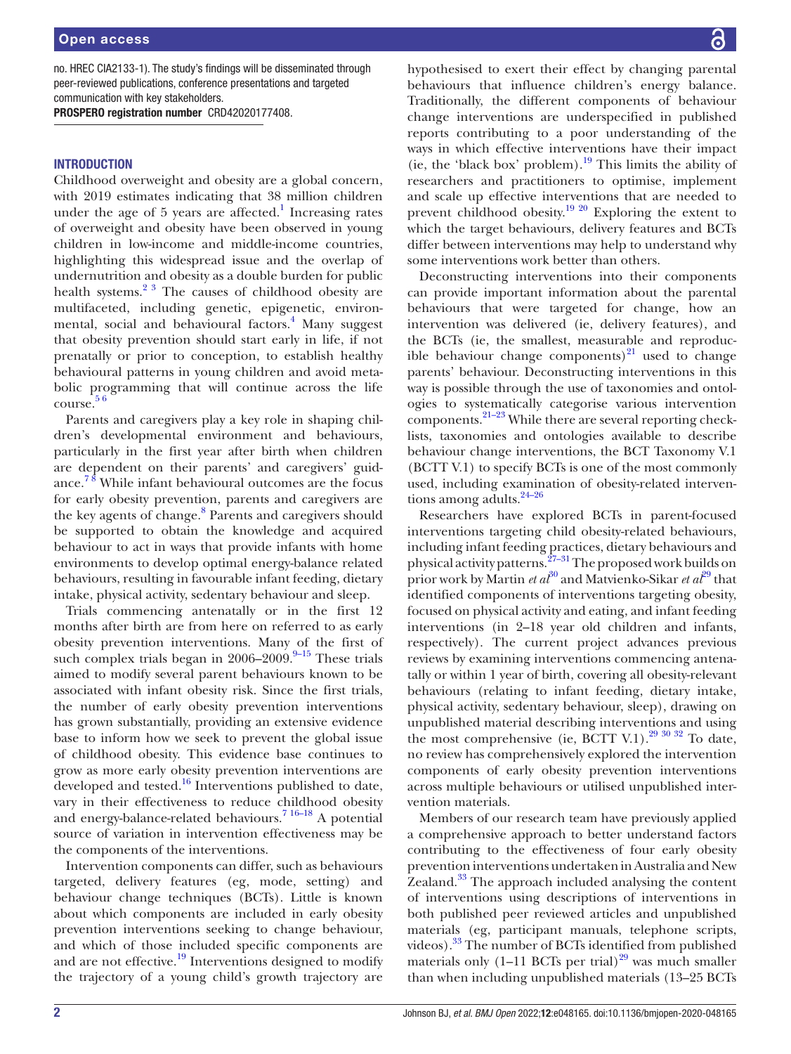no. HREC CIA2133-1). The study's findings will be disseminated through peer-reviewed publications, conference presentations and targeted communication with key stakeholders.

PROSPERO registration number CRD42020177408.

#### **INTRODUCTION**

Childhood overweight and obesity are a global concern, with 2019 estimates indicating that 38 million children under the age of  $5$  years are affected.<sup>[1](#page-7-0)</sup> Increasing rates of overweight and obesity have been observed in young children in low-income and middle-income countries, highlighting this widespread issue and the overlap of undernutrition and obesity as a double burden for public health systems. $2^3$  The causes of childhood obesity are multifaceted, including genetic, epigenetic, environ-mental, social and behavioural factors.<sup>[4](#page-7-2)</sup> Many suggest that obesity prevention should start early in life, if not prenatally or prior to conception, to establish healthy behavioural patterns in young children and avoid metabolic programming that will continue across the life course. [5 6](#page-7-3)

Parents and caregivers play a key role in shaping children's developmental environment and behaviours, particularly in the first year after birth when children are dependent on their parents' and caregivers' guidance.<sup>78</sup> While infant behavioural outcomes are the focus for early obesity prevention, parents and caregivers are the key agents of change.<sup>[8](#page-8-1)</sup> Parents and caregivers should be supported to obtain the knowledge and acquired behaviour to act in ways that provide infants with home environments to develop optimal energy-balance related behaviours, resulting in favourable infant feeding, dietary intake, physical activity, sedentary behaviour and sleep.

Trials commencing antenatally or in the first 12 months after birth are from here on referred to as early obesity prevention interventions. Many of the first of such complex trials began in  $2006-2009$ . <sup>9-15</sup> These trials aimed to modify several parent behaviours known to be associated with infant obesity risk. Since the first trials, the number of early obesity prevention interventions has grown substantially, providing an extensive evidence base to inform how we seek to prevent the global issue of childhood obesity. This evidence base continues to grow as more early obesity prevention interventions are developed and tested.<sup>16</sup> Interventions published to date, vary in their effectiveness to reduce childhood obesity and energy-balance-related behaviours.<sup>[7 16–18](#page-8-0)</sup> A potential source of variation in intervention effectiveness may be the components of the interventions.

Intervention components can differ, such as behaviours targeted, delivery features (eg, mode, setting) and behaviour change techniques (BCTs). Little is known about which components are included in early obesity prevention interventions seeking to change behaviour, and which of those included specific components are and are not effective.<sup>19</sup> Interventions designed to modify the trajectory of a young child's growth trajectory are

hypothesised to exert their effect by changing parental behaviours that influence children's energy balance. Traditionally, the different components of behaviour change interventions are underspecified in published reports contributing to a poor understanding of the ways in which effective interventions have their impact (ie, the 'black box' problem).<sup>19</sup> This limits the ability of researchers and practitioners to optimise, implement and scale up effective interventions that are needed to prevent childhood obesity.<sup>19 20</sup> Exploring the extent to which the target behaviours, delivery features and BCTs differ between interventions may help to understand why some interventions work better than others.

Deconstructing interventions into their components can provide important information about the parental behaviours that were targeted for change, how an intervention was delivered (ie, delivery features), and the BCTs (ie, the smallest, measurable and reproducible behaviour change components) $^{21}$  used to change parents' behaviour. Deconstructing interventions in this way is possible through the use of taxonomies and ontologies to systematically categorise various intervention  $components.<sup>21-23</sup>$  While there are several reporting checklists, taxonomies and ontologies available to describe behaviour change interventions, the BCT Taxonomy V.1 (BCTT V.1) to specify BCTs is one of the most commonly used, including examination of obesity-related interventions among adults. $24-26$ 

Researchers have explored BCTs in parent-focused interventions targeting child obesity-related behaviours, including infant feeding practices, dietary behaviours and physical activity patterns.<sup>27–31</sup> The proposed work builds on prior work by Martin *et al*[30](#page-8-8) and Matvienko-Sikar *et al*[29](#page-8-9) that identified components of interventions targeting obesity, focused on physical activity and eating, and infant feeding interventions (in 2–18 year old children and infants, respectively). The current project advances previous reviews by examining interventions commencing antenatally or within 1 year of birth, covering all obesity-relevant behaviours (relating to infant feeding, dietary intake, physical activity, sedentary behaviour, sleep), drawing on unpublished material describing interventions and using the most comprehensive (ie, BCTT V.1).<sup>[29 30 32](#page-8-9)</sup> To date, no review has comprehensively explored the intervention components of early obesity prevention interventions across multiple behaviours or utilised unpublished intervention materials.

Members of our research team have previously applied a comprehensive approach to better understand factors contributing to the effectiveness of four early obesity prevention interventions undertaken in Australia and New Zealand.<sup>33</sup> The approach included analysing the content of interventions using descriptions of interventions in both published peer reviewed articles and unpublished materials (eg, participant manuals, telephone scripts, videos).<sup>33</sup> The number of BCTs identified from published materials only  $(1-11 \text{ BCTs per trial})^{29}$  was much smaller than when including unpublished materials (13–25 BCTs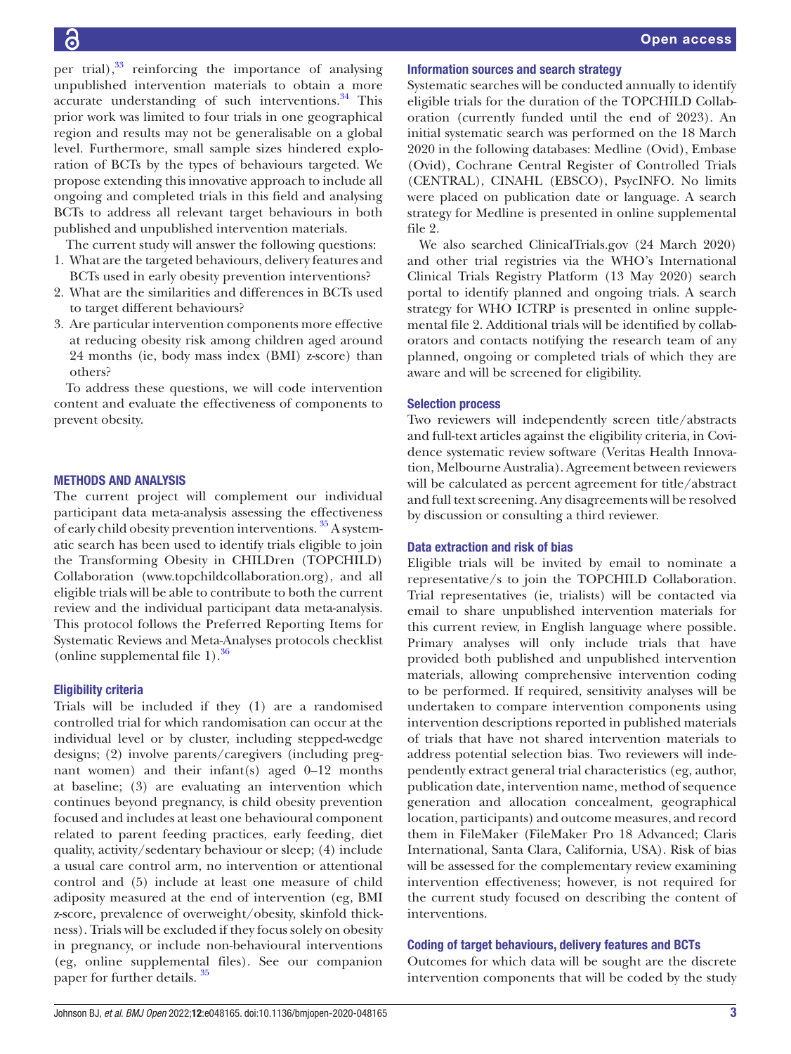per trial), $33$  reinforcing the importance of analysing unpublished intervention materials to obtain a more accurate understanding of such interventions.<sup>34</sup> This prior work was limited to four trials in one geographical region and results may not be generalisable on a global level. Furthermore, small sample sizes hindered exploration of BCTs by the types of behaviours targeted. We propose extending this innovative approach to include all ongoing and completed trials in this field and analysing BCTs to address all relevant target behaviours in both published and unpublished intervention materials.

The current study will answer the following questions:

- 1. What are the targeted behaviours, delivery features and BCTs used in early obesity prevention interventions?
- 2. What are the similarities and differences in BCTs used to target different behaviours?
- 3. Are particular intervention components more effective at reducing obesity risk among children aged around 24 months (ie, body mass index (BMI) z-score) than others?

To address these questions, we will code intervention content and evaluate the effectiveness of components to prevent obesity.

#### METHODS AND ANALYSIS

The current project will complement our individual participant data meta-analysis assessing the effectiveness of early child obesity prevention interventions. <sup>35</sup> A systematic search has been used to identify trials eligible to join the Transforming Obesity in CHILDren (TOPCHILD) Collaboration ([www.topchildcollaboration.org\)](www.topchildcollaboration.org), and all eligible trials will be able to contribute to both the current review and the individual participant data meta-analysis. This protocol follows the Preferred Reporting Items for Systematic Reviews and Meta-Analyses protocols checklist ([online supplemental file 1](https://dx.doi.org/10.1136/bmjopen-2020-048165)). $36$ 

#### Eligibility criteria

Trials will be included if they (1) are a randomised controlled trial for which randomisation can occur at the individual level or by cluster, including stepped-wedge designs; (2) involve parents/caregivers (including pregnant women) and their infant(s) aged 0–12 months at baseline; (3) are evaluating an intervention which continues beyond pregnancy, is child obesity prevention focused and includes at least one behavioural component related to parent feeding practices, early feeding, diet quality, activity/sedentary behaviour or sleep; (4) include a usual care control arm, no intervention or attentional control and (5) include at least one measure of child adiposity measured at the end of intervention (eg, BMI z-score, prevalence of overweight/obesity, skinfold thickness). Trials will be excluded if they focus solely on obesity in pregnancy, or include non-behavioural interventions (eg, [online supplemental files\)](https://dx.doi.org/10.1136/bmjopen-2020-048165). See our companion paper for further details. [35](#page-8-12)

#### Information sources and search strategy

Systematic searches will be conducted annually to identify eligible trials for the duration of the TOPCHILD Collaboration (currently funded until the end of 2023). An initial systematic search was performed on the 18 March 2020 in the following databases: Medline (Ovid), Embase (Ovid), Cochrane Central Register of Controlled Trials (CENTRAL), CINAHL (EBSCO), PsycINFO. No limits were placed on publication date or language. A search strategy for Medline is presented in [online supplemental](https://dx.doi.org/10.1136/bmjopen-2020-048165)  [file 2](https://dx.doi.org/10.1136/bmjopen-2020-048165).

We also searched ClinicalTrials.gov (24 March 2020) and other trial registries via the WHO's International Clinical Trials Registry Platform (13 May 2020) search portal to identify planned and ongoing trials. A search strategy for WHO ICTRP is presented in online supplemental file 2. Additional trials will be identified by collaborators and contacts notifying the research team of any planned, ongoing or completed trials of which they are aware and will be screened for eligibility.

#### Selection process

Two reviewers will independently screen title/abstracts and full-text articles against the eligibility criteria, in Covidence systematic review software (Veritas Health Innovation, Melbourne Australia). Agreement between reviewers will be calculated as percent agreement for title/abstract and full text screening. Any disagreements will be resolved by discussion or consulting a third reviewer.

#### Data extraction and risk of bias

Eligible trials will be invited by email to nominate a representative/s to join the TOPCHILD Collaboration. Trial representatives (ie, trialists) will be contacted via email to share unpublished intervention materials for this current review, in English language where possible. Primary analyses will only include trials that have provided both published and unpublished intervention materials, allowing comprehensive intervention coding to be performed. If required, sensitivity analyses will be undertaken to compare intervention components using intervention descriptions reported in published materials of trials that have not shared intervention materials to address potential selection bias. Two reviewers will independently extract general trial characteristics (eg, author, publication date, intervention name, method of sequence generation and allocation concealment, geographical location, participants) and outcome measures, and record them in FileMaker (FileMaker Pro 18 Advanced; Claris International, Santa Clara, California, USA). Risk of bias will be assessed for the complementary review examining intervention effectiveness; however, is not required for the current study focused on describing the content of interventions.

#### Coding of target behaviours, delivery features and BCTs

Outcomes for which data will be sought are the discrete intervention components that will be coded by the study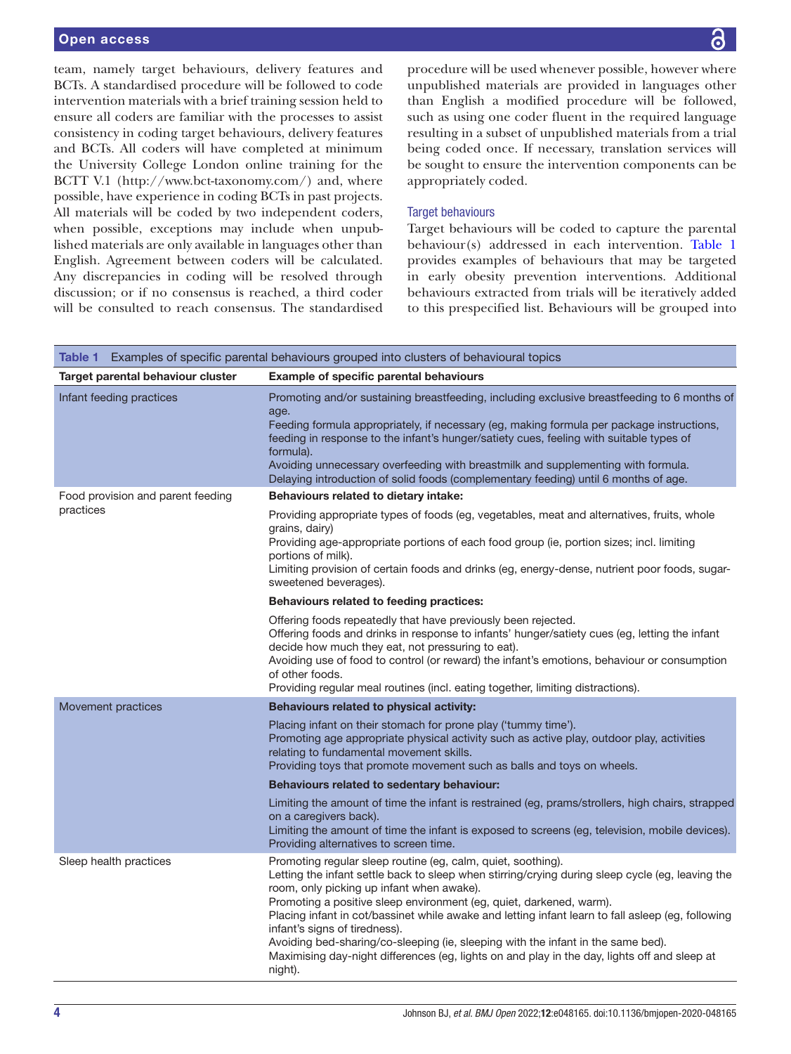### Open access

team, namely target behaviours, delivery features and BCTs. A standardised procedure will be followed to code intervention materials with a brief training session held to ensure all coders are familiar with the processes to assist consistency in coding target behaviours, delivery features and BCTs. All coders will have completed at minimum the University College London online training for the BCTT V.1 (<http://www.bct-taxonomy.com/>) and, where possible, have experience in coding BCTs in past projects. All materials will be coded by two independent coders, when possible, exceptions may include when unpublished materials are only available in languages other than English. Agreement between coders will be calculated. Any discrepancies in coding will be resolved through discussion; or if no consensus is reached, a third coder will be consulted to reach consensus. The standardised

procedure will be used whenever possible, however where unpublished materials are provided in languages other than English a modified procedure will be followed, such as using one coder fluent in the required language resulting in a subset of unpublished materials from a trial being coded once. If necessary, translation services will be sought to ensure the intervention components can be appropriately coded.

#### Target behaviours

Target behaviours will be coded to capture the parental behaviour(s) addressed in each intervention. [Table](#page-3-0) 1 provides examples of behaviours that may be targeted in early obesity prevention interventions. Additional behaviours extracted from trials will be iteratively added to this prespecified list. Behaviours will be grouped into

<span id="page-3-0"></span>

| Table 1 Examples of specific parental behaviours grouped into clusters of behavioural topics |                                                                                                                                                                                                                                                                                                                                                                                                                                                                                                                                                                                                                           |  |
|----------------------------------------------------------------------------------------------|---------------------------------------------------------------------------------------------------------------------------------------------------------------------------------------------------------------------------------------------------------------------------------------------------------------------------------------------------------------------------------------------------------------------------------------------------------------------------------------------------------------------------------------------------------------------------------------------------------------------------|--|
| Target parental behaviour cluster                                                            | Example of specific parental behaviours                                                                                                                                                                                                                                                                                                                                                                                                                                                                                                                                                                                   |  |
| Infant feeding practices                                                                     | Promoting and/or sustaining breastfeeding, including exclusive breastfeeding to 6 months of<br>age.<br>Feeding formula appropriately, if necessary (eg, making formula per package instructions,<br>feeding in response to the infant's hunger/satiety cues, feeling with suitable types of<br>formula).<br>Avoiding unnecessary overfeeding with breastmilk and supplementing with formula.<br>Delaying introduction of solid foods (complementary feeding) until 6 months of age.                                                                                                                                       |  |
| Food provision and parent feeding<br>practices                                               | Behaviours related to dietary intake:                                                                                                                                                                                                                                                                                                                                                                                                                                                                                                                                                                                     |  |
|                                                                                              | Providing appropriate types of foods (eg, vegetables, meat and alternatives, fruits, whole<br>grains, dairy)<br>Providing age-appropriate portions of each food group (ie, portion sizes; incl. limiting<br>portions of milk).<br>Limiting provision of certain foods and drinks (eg, energy-dense, nutrient poor foods, sugar-<br>sweetened beverages).                                                                                                                                                                                                                                                                  |  |
|                                                                                              | Behaviours related to feeding practices:                                                                                                                                                                                                                                                                                                                                                                                                                                                                                                                                                                                  |  |
|                                                                                              | Offering foods repeatedly that have previously been rejected.<br>Offering foods and drinks in response to infants' hunger/satiety cues (eg, letting the infant<br>decide how much they eat, not pressuring to eat).<br>Avoiding use of food to control (or reward) the infant's emotions, behaviour or consumption<br>of other foods.<br>Providing regular meal routines (incl. eating together, limiting distractions).                                                                                                                                                                                                  |  |
| Movement practices                                                                           | <b>Behaviours related to physical activity:</b>                                                                                                                                                                                                                                                                                                                                                                                                                                                                                                                                                                           |  |
|                                                                                              | Placing infant on their stomach for prone play ('tummy time').<br>Promoting age appropriate physical activity such as active play, outdoor play, activities<br>relating to fundamental movement skills.<br>Providing toys that promote movement such as balls and toys on wheels.                                                                                                                                                                                                                                                                                                                                         |  |
|                                                                                              | Behaviours related to sedentary behaviour:                                                                                                                                                                                                                                                                                                                                                                                                                                                                                                                                                                                |  |
|                                                                                              | Limiting the amount of time the infant is restrained (eg, prams/strollers, high chairs, strapped<br>on a caregivers back).<br>Limiting the amount of time the infant is exposed to screens (eg, television, mobile devices).<br>Providing alternatives to screen time.                                                                                                                                                                                                                                                                                                                                                    |  |
| Sleep health practices                                                                       | Promoting regular sleep routine (eg, calm, quiet, soothing).<br>Letting the infant settle back to sleep when stirring/crying during sleep cycle (eg, leaving the<br>room, only picking up infant when awake).<br>Promoting a positive sleep environment (eg, quiet, darkened, warm).<br>Placing infant in cot/bassinet while awake and letting infant learn to fall asleep (eg, following<br>infant's signs of tiredness).<br>Avoiding bed-sharing/co-sleeping (ie, sleeping with the infant in the same bed).<br>Maximising day-night differences (eg, lights on and play in the day, lights off and sleep at<br>night). |  |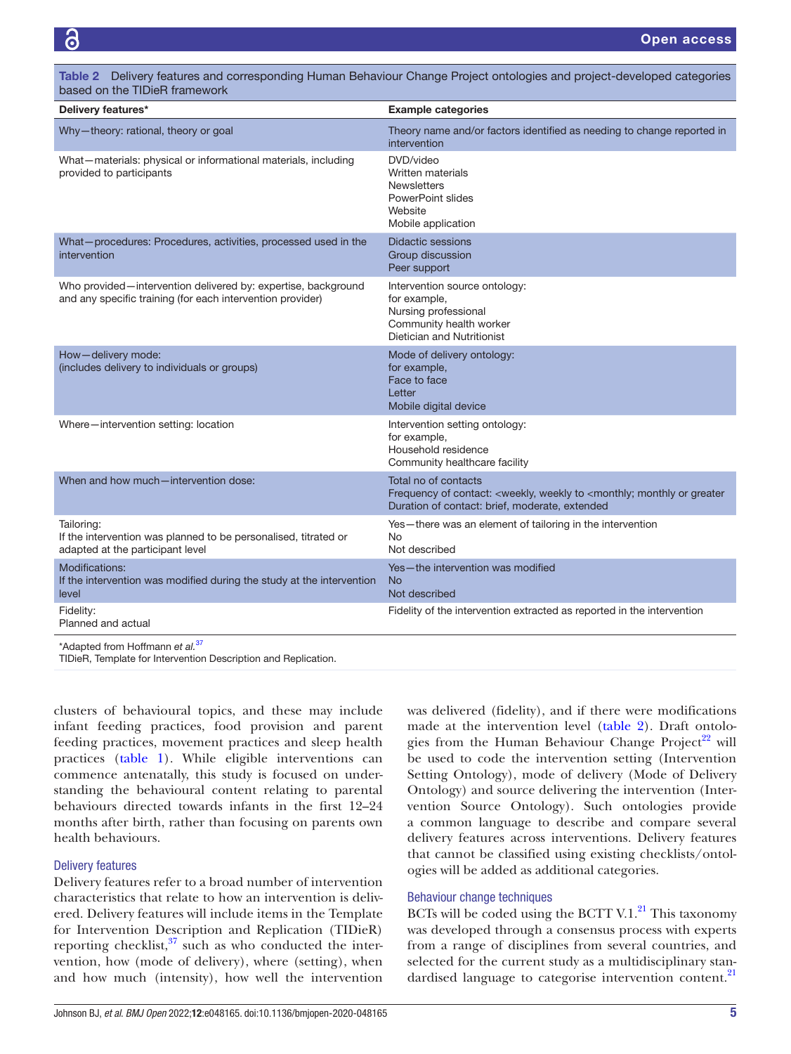| Delivery features*                                                                                                          | <b>Example categories</b>                                                                                                                                                   |
|-----------------------------------------------------------------------------------------------------------------------------|-----------------------------------------------------------------------------------------------------------------------------------------------------------------------------|
| Why-theory: rational, theory or goal                                                                                        | Theory name and/or factors identified as needing to change reported in<br>intervention                                                                                      |
| What-materials: physical or informational materials, including<br>provided to participants                                  | DVD/video<br>Written materials<br><b>Newsletters</b><br>PowerPoint slides<br>Website<br>Mobile application                                                                  |
| What-procedures: Procedures, activities, processed used in the<br>intervention                                              | <b>Didactic sessions</b><br>Group discussion<br>Peer support                                                                                                                |
| Who provided—intervention delivered by: expertise, background<br>and any specific training (for each intervention provider) | Intervention source ontology:<br>for example,<br>Nursing professional<br>Community health worker<br>Dietician and Nutritionist                                              |
| How-delivery mode:<br>(includes delivery to individuals or groups)                                                          | Mode of delivery ontology:<br>for example,<br>Face to face<br>Letter<br>Mobile digital device                                                                               |
| Where-intervention setting: location                                                                                        | Intervention setting ontology:<br>for example,<br>Household residence<br>Community healthcare facility                                                                      |
| When and how much-intervention dose:                                                                                        | Total no of contacts<br>Frequency of contact: <weekly, <monthly;="" greater<br="" monthly="" or="" to="" weekly="">Duration of contact: brief, moderate, extended</weekly,> |
| Tailoring:<br>If the intervention was planned to be personalised, titrated or<br>adapted at the participant level           | Yes-there was an element of tailoring in the intervention<br>No<br>Not described                                                                                            |
| Modifications:<br>If the intervention was modified during the study at the intervention<br>level                            | Yes-the intervention was modified<br>No.<br>Not described                                                                                                                   |
| Fidelity:<br>Planned and actual                                                                                             | Fidelity of the intervention extracted as reported in the intervention                                                                                                      |
| *Adapted from Hoffmann et al <sup>37</sup>                                                                                  |                                                                                                                                                                             |

<span id="page-4-0"></span>Table 2 Delivery features and corresponding Human Behaviour Change Project ontologies and project-developed categories based on the TIDieR framework

\*Adapted from Hoffmann *et al.*[37](#page-8-14)

TIDieR, Template for Intervention Description and Replication.

clusters of behavioural topics, and these may include infant feeding practices, food provision and parent feeding practices, movement practices and sleep health practices [\(table](#page-3-0) 1). While eligible interventions can commence antenatally, this study is focused on understanding the behavioural content relating to parental behaviours directed towards infants in the first 12–24 months after birth, rather than focusing on parents own health behaviours.

# Delivery features

Delivery features refer to a broad number of intervention characteristics that relate to how an intervention is delivered. Delivery features will include items in the Template for Intervention Description and Replication (TIDieR) reporting checklist, $37$  such as who conducted the intervention, how (mode of delivery), where (setting), when and how much (intensity), how well the intervention

was delivered (fidelity), and if there were modifications made at the intervention level ([table](#page-4-0) 2). Draft ontolo-gies from the Human Behaviour Change Project<sup>[22](#page-8-15)</sup> will be used to code the intervention setting (Intervention Setting Ontology), mode of delivery (Mode of Delivery Ontology) and source delivering the intervention (Intervention Source Ontology). Such ontologies provide a common language to describe and compare several delivery features across interventions. Delivery features that cannot be classified using existing checklists/ontologies will be added as additional categories.

# Behaviour change techniques

BCTs will be coded using the BCTT V.1. $^{21}$  This taxonomy was developed through a consensus process with experts from a range of disciplines from several countries, and selected for the current study as a multidisciplinary stan-dardised language to categorise intervention content.<sup>[21](#page-8-5)</sup>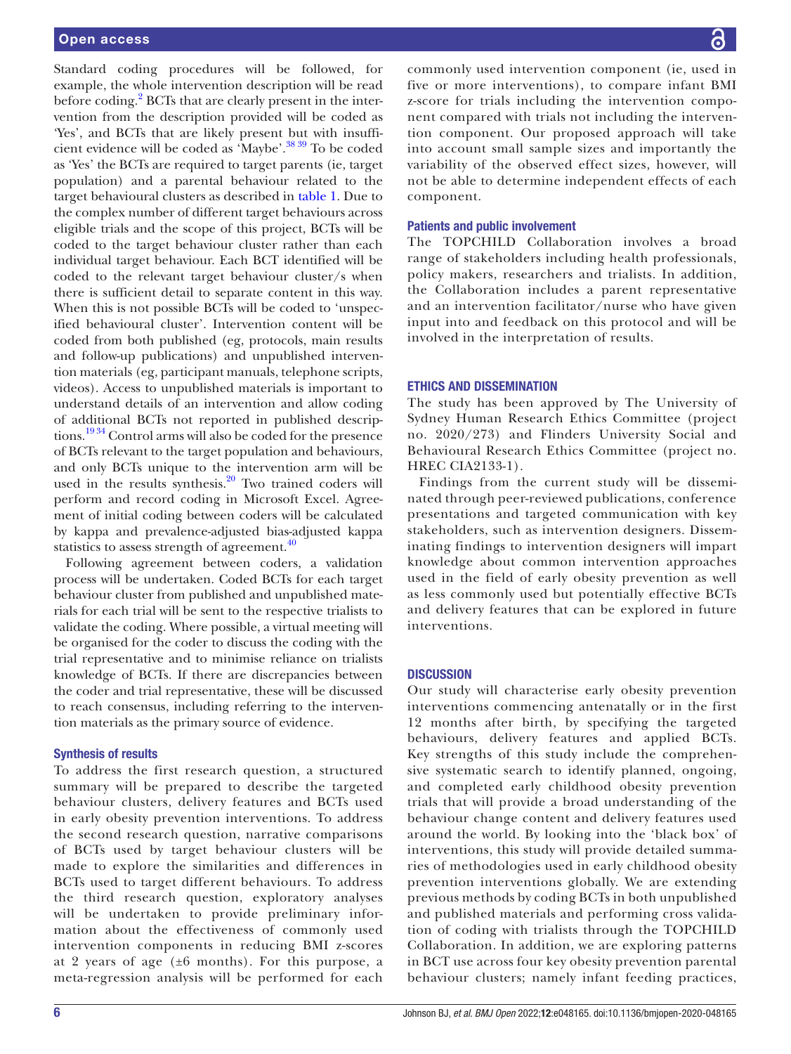Standard coding procedures will be followed, for example, the whole intervention description will be read before coding.<sup>2</sup> BCTs that are clearly present in the intervention from the description provided will be coded as 'Yes', and BCTs that are likely present but with insufficient evidence will be coded as 'Maybe'[.38 39](#page-8-16) To be coded as 'Yes' the BCTs are required to target parents (ie, target population) and a parental behaviour related to the target behavioural clusters as described in [table](#page-3-0) 1. Due to the complex number of different target behaviours across eligible trials and the scope of this project, BCTs will be coded to the target behaviour cluster rather than each individual target behaviour. Each BCT identified will be coded to the relevant target behaviour cluster/s when there is sufficient detail to separate content in this way. When this is not possible BCTs will be coded to 'unspecified behavioural cluster'. Intervention content will be coded from both published (eg, protocols, main results and follow-up publications) and unpublished intervention materials (eg, participant manuals, telephone scripts, videos). Access to unpublished materials is important to understand details of an intervention and allow coding of additional BCTs not reported in published descriptions.<sup>1934</sup> Control arms will also be coded for the presence of BCTs relevant to the target population and behaviours, and only BCTs unique to the intervention arm will be used in the results synthesis.<sup>20</sup> Two trained coders will perform and record coding in Microsoft Excel. Agreement of initial coding between coders will be calculated by kappa and prevalence-adjusted bias-adjusted kappa statistics to assess strength of agreement. $40$ 

Following agreement between coders, a validation process will be undertaken. Coded BCTs for each target behaviour cluster from published and unpublished materials for each trial will be sent to the respective trialists to validate the coding. Where possible, a virtual meeting will be organised for the coder to discuss the coding with the trial representative and to minimise reliance on trialists knowledge of BCTs. If there are discrepancies between the coder and trial representative, these will be discussed to reach consensus, including referring to the intervention materials as the primary source of evidence.

# Synthesis of results

To address the first research question, a structured summary will be prepared to describe the targeted behaviour clusters, delivery features and BCTs used in early obesity prevention interventions. To address the second research question, narrative comparisons of BCTs used by target behaviour clusters will be made to explore the similarities and differences in BCTs used to target different behaviours. To address the third research question, exploratory analyses will be undertaken to provide preliminary information about the effectiveness of commonly used intervention components in reducing BMI z-scores at 2 years of age  $(\pm 6 \text{ months})$ . For this purpose, a meta-regression analysis will be performed for each

commonly used intervention component (ie, used in five or more interventions), to compare infant BMI z-score for trials including the intervention component compared with trials not including the intervention component. Our proposed approach will take into account small sample sizes and importantly the variability of the observed effect sizes, however, will not be able to determine independent effects of each component.

# Patients and public involvement

The TOPCHILD Collaboration involves a broad range of stakeholders including health professionals, policy makers, researchers and trialists. In addition, the Collaboration includes a parent representative and an intervention facilitator/nurse who have given input into and feedback on this protocol and will be involved in the interpretation of results.

# ETHICS AND DISSEMINATION

The study has been approved by The University of Sydney Human Research Ethics Committee (project no. 2020/273) and Flinders University Social and Behavioural Research Ethics Committee (project no. HREC CIA2133-1).

Findings from the current study will be disseminated through peer-reviewed publications, conference presentations and targeted communication with key stakeholders, such as intervention designers. Disseminating findings to intervention designers will impart knowledge about common intervention approaches used in the field of early obesity prevention as well as less commonly used but potentially effective BCTs and delivery features that can be explored in future interventions.

# **DISCUSSION**

Our study will characterise early obesity prevention interventions commencing antenatally or in the first 12 months after birth, by specifying the targeted behaviours, delivery features and applied BCTs. Key strengths of this study include the comprehensive systematic search to identify planned, ongoing, and completed early childhood obesity prevention trials that will provide a broad understanding of the behaviour change content and delivery features used around the world. By looking into the 'black box' of interventions, this study will provide detailed summaries of methodologies used in early childhood obesity prevention interventions globally. We are extending previous methods by coding BCTs in both unpublished and published materials and performing cross validation of coding with trialists through the TOPCHILD Collaboration. In addition, we are exploring patterns in BCT use across four key obesity prevention parental behaviour clusters; namely infant feeding practices,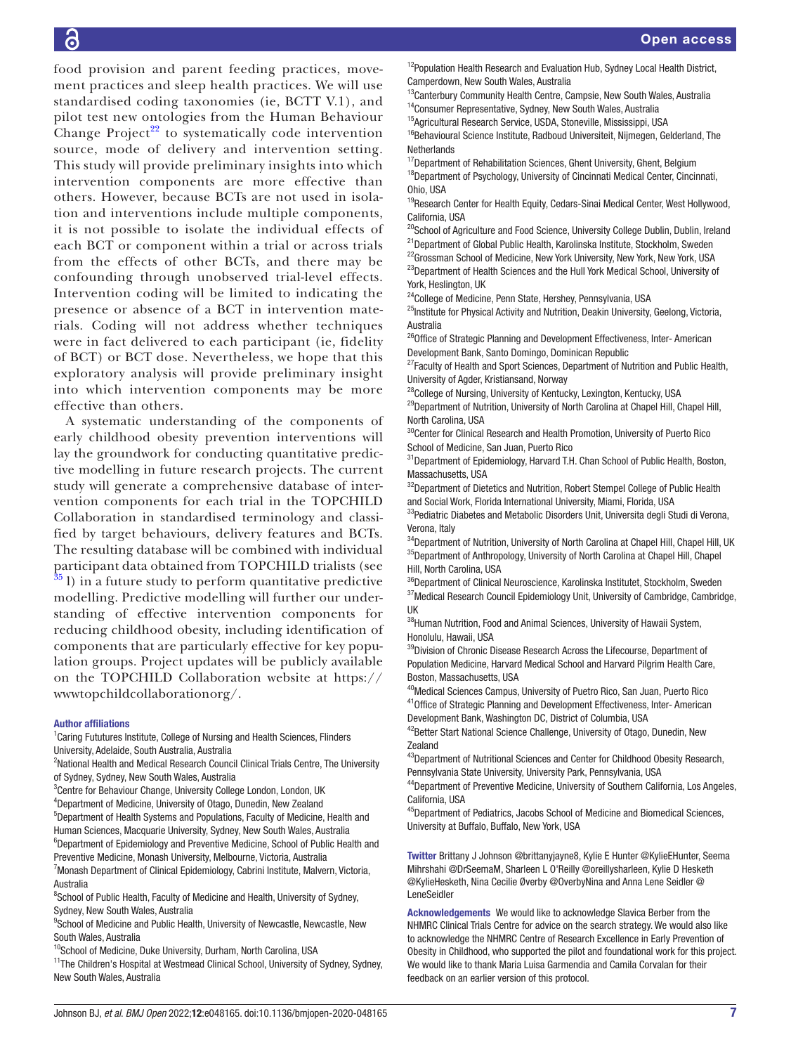food provision and parent feeding practices, movement practices and sleep health practices. We will use standardised coding taxonomies (ie, BCTT V.1), and pilot test new ontologies from the Human Behaviour Change Project $^{22}$  $^{22}$  $^{22}$  to systematically code intervention source, mode of delivery and intervention setting. This study will provide preliminary insights into which intervention components are more effective than others. However, because BCTs are not used in isolation and interventions include multiple components, it is not possible to isolate the individual effects of each BCT or component within a trial or across trials from the effects of other BCTs, and there may be confounding through unobserved trial-level effects. Intervention coding will be limited to indicating the presence or absence of a BCT in intervention materials. Coding will not address whether techniques were in fact delivered to each participant (ie, fidelity of BCT) or BCT dose. Nevertheless, we hope that this exploratory analysis will provide preliminary insight into which intervention components may be more effective than others.

A systematic understanding of the components of early childhood obesity prevention interventions will lay the groundwork for conducting quantitative predictive modelling in future research projects. The current study will generate a comprehensive database of intervention components for each trial in the TOPCHILD Collaboration in standardised terminology and classified by target behaviours, delivery features and BCTs. The resulting database will be combined with individual participant data obtained from TOPCHILD trialists (see  $35$  l) in a future study to perform quantitative predictive modelling. Predictive modelling will further our understanding of effective intervention components for reducing childhood obesity, including identification of components that are particularly effective for key population groups. Project updates will be publicly available on the TOPCHILD Collaboration website at [https://](www.topchildcollaboration.org) [wwwtopchildcollaborationorg/](www.topchildcollaboration.org).

#### Author affiliations

<sup>1</sup> Caring Fututures Institute, College of Nursing and Health Sciences, Flinders University, Adelaide, South Australia, Australia

<sup>2</sup>National Health and Medical Research Council Clinical Trials Centre, The University of Sydney, Sydney, New South Wales, Australia

<sup>3</sup> Centre for Behaviour Change, University College London, London, UK

4 Department of Medicine, University of Otago, Dunedin, New Zealand 5 Department of Health Systems and Populations, Faculty of Medicine, Health and Human Sciences, Macquarie University, Sydney, New South Wales, Australia <sup>6</sup>Department of Epidemiology and Preventive Medicine, School of Public Health and

Preventive Medicine, Monash University, Melbourne, Victoria, Australia <sup>7</sup> Monash Department of Clinical Epidemiology, Cabrini Institute, Malvern, Victoria, Australia

<sup>8</sup>School of Public Health, Faculty of Medicine and Health, University of Sydney, Sydney, New South Wales, Australia

<sup>9</sup>School of Medicine and Public Health, University of Newcastle, Newcastle, New South Wales, Australia

<sup>10</sup>School of Medicine, Duke University, Durham, North Carolina, USA

<sup>11</sup>The Children's Hospital at Westmead Clinical School, University of Sydney, Sydney, New South Wales, Australia

<sup>12</sup>Population Health Research and Evaluation Hub, Sydney Local Health District, Camperdown, New South Wales, Australia

<sup>13</sup>Canterbury Community Health Centre, Campsie, New South Wales, Australia <sup>14</sup>Consumer Representative, Sydney, New South Wales, Australia

<sup>15</sup>Agricultural Research Service, USDA, Stoneville, Mississippi, USA

<sup>16</sup>Behavioural Science Institute, Radboud Universiteit, Nijmegen, Gelderland, The **Netherlands** 

 $17$ Department of Rehabilitation Sciences, Ghent University, Ghent, Belgium <sup>18</sup>Department of Psychology, University of Cincinnati Medical Center, Cincinnati, Ohio, USA

<sup>19</sup>Research Center for Health Equity, Cedars-Sinai Medical Center, West Hollywood, California, USA

<sup>20</sup>School of Agriculture and Food Science, University College Dublin, Dublin, Ireland

<sup>21</sup>Department of Global Public Health, Karolinska Institute, Stockholm, Sweden <sup>22</sup>Grossman School of Medicine, New York University, New York, New York, USA

<sup>23</sup>Department of Health Sciences and the Hull York Medical School, University of York, Heslington, UK

<sup>24</sup>College of Medicine, Penn State, Hershey, Pennsylvania, USA

<sup>25</sup>Institute for Physical Activity and Nutrition, Deakin University, Geelong, Victoria, Australia

<sup>26</sup>Office of Strategic Planning and Development Effectiveness, Inter- American Development Bank, Santo Domingo, Dominican Republic

<sup>27</sup>Faculty of Health and Sport Sciences, Department of Nutrition and Public Health, University of Agder, Kristiansand, Norway

<sup>28</sup>College of Nursing, University of Kentucky, Lexington, Kentucky, USA <sup>29</sup>Department of Nutrition, University of North Carolina at Chapel Hill, Chapel Hill, North Carolina, USA

<sup>30</sup>Center for Clinical Research and Health Promotion, University of Puerto Rico School of Medicine, San Juan, Puerto Rico

<sup>31</sup>Department of Epidemiology, Harvard T.H. Chan School of Public Health, Boston, Massachusetts, USA

<sup>32</sup>Department of Dietetics and Nutrition, Robert Stempel College of Public Health and Social Work, Florida International University, Miami, Florida, USA

<sup>33</sup>Pediatric Diabetes and Metabolic Disorders Unit, Universita degli Studi di Verona, Verona, Italy

 $^{34}$ Department of Nutrition, University of North Carolina at Chapel Hill, Chapel Hill, UK <sup>35</sup>Department of Anthropology, University of North Carolina at Chapel Hill, Chapel Hill, North Carolina, USA

36Department of Clinical Neuroscience, Karolinska Institutet, Stockholm, Sweden <sup>37</sup> Medical Research Council Epidemiology Unit, University of Cambridge, Cambridge, UK

38Human Nutrition, Food and Animal Sciences, University of Hawaii System, Honolulu, Hawaii, USA

<sup>39</sup>Division of Chronic Disease Research Across the Lifecourse, Department of Population Medicine, Harvard Medical School and Harvard Pilgrim Health Care, Boston, Massachusetts, USA

<sup>40</sup>Medical Sciences Campus, University of Puetro Rico, San Juan, Puerto Rico <sup>41</sup>Office of Strategic Planning and Development Effectiveness, Inter- American Development Bank, Washington DC, District of Columbia, USA

<sup>42</sup>Better Start National Science Challenge, University of Otago, Dunedin, New Zealand

<sup>43</sup>Department of Nutritional Sciences and Center for Childhood Obesity Research, Pennsylvania State University, University Park, Pennsylvania, USA

<sup>44</sup>Department of Preventive Medicine, University of Southern California, Los Angeles, California, USA

 $^{45}$ Department of Pediatrics, Jacobs School of Medicine and Biomedical Sciences, University at Buffalo, Buffalo, New York, USA

Twitter Brittany J Johnson [@brittanyjayne8](https://twitter.com/brittanyjayne8), Kylie E Hunter [@KylieEHunter,](https://twitter.com/KylieEHunter) Seema Mihrshahi [@DrSeemaM](https://twitter.com/DrSeemaM), Sharleen L O'Reilly [@oreillysharleen,](https://twitter.com/oreillysharleen) Kylie D Hesketh [@KylieHesketh](https://twitter.com/KylieHesketh), Nina Cecilie Øverby [@OverbyNina](https://twitter.com/OverbyNina) and Anna Lene Seidler [@](https://twitter.com/LeneSeidler) [LeneSeidler](https://twitter.com/LeneSeidler)

Acknowledgements We would like to acknowledge Slavica Berber from the NHMRC Clinical Trials Centre for advice on the search strategy. We would also like to acknowledge the NHMRC Centre of Research Excellence in Early Prevention of Obesity in Childhood, who supported the pilot and foundational work for this project. We would like to thank Maria Luisa Garmendia and Camila Corvalan for their feedback on an earlier version of this protocol.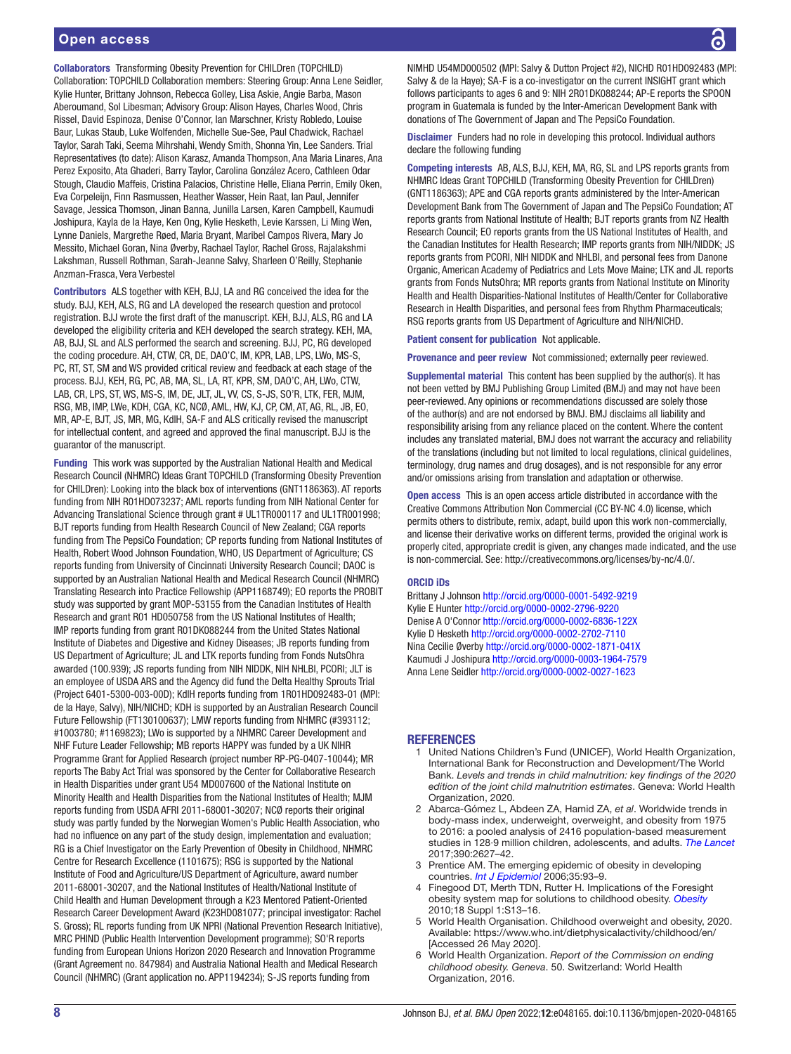Collaborators Transforming Obesity Prevention for CHILDren (TOPCHILD) Collaboration: TOPCHILD Collaboration members: Steering Group: Anna Lene Seidler, Kylie Hunter, Brittany Johnson, Rebecca Golley, Lisa Askie, Angie Barba, Mason Aberoumand, Sol Libesman; Advisory Group: Alison Hayes, Charles Wood, Chris Rissel, David Espinoza, Denise O'Connor, Ian Marschner, Kristy Robledo, Louise Baur, Lukas Staub, Luke Wolfenden, Michelle Sue-See, Paul Chadwick, Rachael Taylor, Sarah Taki, Seema Mihrshahi, Wendy Smith, Shonna Yin, Lee Sanders. Trial Representatives (to date): Alison Karasz, Amanda Thompson, Ana Maria Linares, Ana Perez Exposito, Ata Ghaderi, Barry Taylor, Carolina González Acero, Cathleen Odar Stough, Claudio Maffeis, Cristina Palacios, Christine Helle, Eliana Perrin, Emily Oken, Eva Corpeleijn, Finn Rasmussen, Heather Wasser, Hein Raat, Ian Paul, Jennifer Savage, Jessica Thomson, Jinan Banna, Junilla Larsen, Karen Campbell, Kaumudi Joshipura, Kayla de la Haye, Ken Ong, Kylie Hesketh, Levie Karssen, Li Ming Wen, Lynne Daniels, Margrethe Røed, Maria Bryant, Maribel Campos Rivera, Mary Jo Messito, Michael Goran, Nina Øverby, Rachael Taylor, Rachel Gross, Rajalakshmi Lakshman, Russell Rothman, Sarah-Jeanne Salvy, Sharleen O'Reilly, Stephanie Anzman-Frasca, Vera Verbestel

Contributors ALS together with KEH, BJJ, LA and RG conceived the idea for the study. BJJ, KEH, ALS, RG and LA developed the research question and protocol registration. BJJ wrote the first draft of the manuscript. KEH, BJJ, ALS, RG and LA developed the eligibility criteria and KEH developed the search strategy. KEH, MA, AB, BJJ, SL and ALS performed the search and screening. BJJ, PC, RG developed the coding procedure. AH, CTW, CR, DE, DAO'C, IM, KPR, LAB, LPS, LWo, MS-S, PC, RT, ST, SM and WS provided critical review and feedback at each stage of the process. BJJ, KEH, RG, PC, AB, MA, SL, LA, RT, KPR, SM, DAO'C, AH, LWo, CTW, LAB, CR, LPS, ST, WS, MS-S, IM, DE, JLT, JL, VV, CS, S-JS, SO'R, LTK, FER, MJM, RSG, MB, IMP, LWe, KDH, CGA, KC, NCØ, AML, HW, KJ, CP, CM, AT, AG, RL, JB, EO, MR, AP-E, BJT, JS, MR, MG, KdlH, SA-F and ALS critically revised the manuscript for intellectual content, and agreed and approved the final manuscript. BJJ is the guarantor of the manuscript.

Funding This work was supported by the Australian National Health and Medical Research Council (NHMRC) Ideas Grant TOPCHILD (Transforming Obesity Prevention for CHILDren): Looking into the black box of interventions (GNT1186363). AT reports funding from NIH R01HD073237; AML reports funding from NIH National Center for Advancing Translational Science through grant # UL1TR000117 and UL1TR001998; BJT reports funding from Health Research Council of New Zealand; CGA reports funding from The PepsiCo Foundation; CP reports funding from National Institutes of Health, Robert Wood Johnson Foundation, WHO, US Department of Agriculture; CS reports funding from University of Cincinnati University Research Council; DAOC is supported by an Australian National Health and Medical Research Council (NHMRC) Translating Research into Practice Fellowship (APP1168749); EO reports the PROBIT study was supported by grant MOP-53155 from the Canadian Institutes of Health Research and grant R01 HD050758 from the US National Institutes of Health; IMP reports funding from grant R01DK088244 from the United States National Institute of Diabetes and Digestive and Kidney Diseases; JB reports funding from US Department of Agriculture; JL and LTK reports funding from Fonds NutsOhra awarded (100.939); JS reports funding from NIH NIDDK, NIH NHLBI, PCORI; JLT is an employee of USDA ARS and the Agency did fund the Delta Healthy Sprouts Trial (Project 6401-5300-003-00D); KdlH reports funding from 1R01HD092483-01 (MPI: de la Haye, Salvy), NIH/NICHD; KDH is supported by an Australian Research Council Future Fellowship (FT130100637); LMW reports funding from NHMRC (#393112; #1003780; #1169823); LWo is supported by a NHMRC Career Development and NHF Future Leader Fellowship; MB reports HAPPY was funded by a UK NIHR Programme Grant for Applied Research (project number RP-PG-0407-10044); MR reports The Baby Act Trial was sponsored by the Center for Collaborative Research in Health Disparities under grant U54 MD007600 of the National Institute on Minority Health and Health Disparities from the National Institutes of Health; MJM reports funding from USDA AFRI 2011-68001-30207; NCØ reports their original study was partly funded by the Norwegian Women's Public Health Association, who had no influence on any part of the study design, implementation and evaluation; RG is a Chief Investigator on the Early Prevention of Obesity in Childhood, NHMRC Centre for Research Excellence (1101675); RSG is supported by the National Institute of Food and Agriculture/US Department of Agriculture, award number 2011-68001-30207, and the National Institutes of Health/National Institute of Child Health and Human Development through a K23 Mentored Patient-Oriented Research Career Development Award (K23HD081077; principal investigator: Rachel S. Gross); RL reports funding from UK NPRI (National Prevention Research Initiative), MRC PHIND (Public Health Intervention Development programme); SO'R reports funding from European Unions Horizon 2020 Research and Innovation Programme (Grant Agreement no. 847984) and Australia National Health and Medical Research Council (NHMRC) (Grant application no. APP1194234); S-JS reports funding from

NIMHD U54MD000502 (MPI: Salvy & Dutton Project #2), NICHD R01HD092483 (MPI: Salvy & de la Haye); SA-F is a co-investigator on the current INSIGHT grant which follows participants to ages 6 and 9: NIH 2R01DK088244; AP-E reports the SPOON program in Guatemala is funded by the Inter-American Development Bank with donations of The Government of Japan and The PepsiCo Foundation.

Disclaimer Funders had no role in developing this protocol. Individual authors declare the following funding

Competing interests AB, ALS, BJJ, KEH, MA, RG, SL and LPS reports grants from NHMRC Ideas Grant TOPCHILD (Transforming Obesity Prevention for CHILDren) (GNT1186363); APE and CGA reports grants administered by the Inter-American Development Bank from The Government of Japan and The PepsiCo Foundation; AT reports grants from National Institute of Health; BJT reports grants from NZ Health Research Council; EO reports grants from the US National Institutes of Health, and the Canadian Institutes for Health Research; IMP reports grants from NIH/NIDDK; JS reports grants from PCORI, NIH NIDDK and NHLBI, and personal fees from Danone Organic, American Academy of Pediatrics and Lets Move Maine; LTK and JL reports grants from Fonds NutsOhra; MR reports grants from National Institute on Minority Health and Health Disparities-National Institutes of Health/Center for Collaborative Research in Health Disparities, and personal fees from Rhythm Pharmaceuticals; RSG reports grants from US Department of Agriculture and NIH/NICHD.

Patient consent for publication Not applicable.

Provenance and peer review Not commissioned; externally peer reviewed.

Supplemental material This content has been supplied by the author(s). It has not been vetted by BMJ Publishing Group Limited (BMJ) and may not have been peer-reviewed. Any opinions or recommendations discussed are solely those of the author(s) and are not endorsed by BMJ. BMJ disclaims all liability and responsibility arising from any reliance placed on the content. Where the content includes any translated material, BMJ does not warrant the accuracy and reliability of the translations (including but not limited to local regulations, clinical guidelines, terminology, drug names and drug dosages), and is not responsible for any error and/or omissions arising from translation and adaptation or otherwise.

Open access This is an open access article distributed in accordance with the Creative Commons Attribution Non Commercial (CC BY-NC 4.0) license, which permits others to distribute, remix, adapt, build upon this work non-commercially, and license their derivative works on different terms, provided the original work is properly cited, appropriate credit is given, any changes made indicated, and the use is non-commercial. See: [http://creativecommons.org/licenses/by-nc/4.0/.](http://creativecommons.org/licenses/by-nc/4.0/)

#### ORCID iDs

Brittany J Johnson <http://orcid.org/0000-0001-5492-9219> Kylie E Hunter<http://orcid.org/0000-0002-2796-9220> Denise A O'Connor <http://orcid.org/0000-0002-6836-122X> Kylie D Hesketh<http://orcid.org/0000-0002-2702-7110> Nina Cecilie Øverby<http://orcid.org/0000-0002-1871-041X> Kaumudi J Joshipura<http://orcid.org/0000-0003-1964-7579> Anna Lene Seidler<http://orcid.org/0000-0002-0027-1623>

#### <span id="page-7-0"></span>**REFERENCES**

- United Nations Children's Fund (UNICEF), World Health Organization, International Bank for Reconstruction and Development/The World Bank. *Levels and trends in child malnutrition: key findings of the 2020 edition of the joint child malnutrition estimates*. Geneva: World Health Organization, 2020.
- <span id="page-7-1"></span>2 Abarca-Gómez L, Abdeen ZA, Hamid ZA, *et al*. Worldwide trends in body-mass index, underweight, overweight, and obesity from 1975 to 2016: a pooled analysis of 2416 population-based measurement studies in 128·9 million children, adolescents, and adults. *[The Lancet](http://dx.doi.org/10.1016/S0140-6736(17)32129-3)* 2017;390:2627–42.
- 3 Prentice AM. The emerging epidemic of obesity in developing countries. *[Int J Epidemiol](http://dx.doi.org/10.1093/ije/dyi272)* 2006;35:93–9.
- <span id="page-7-2"></span>4 Finegood DT, Merth TDN, Rutter H. Implications of the Foresight obesity system map for solutions to childhood obesity. *[Obesity](http://dx.doi.org/10.1038/oby.2009.426)* 2010;18 Suppl 1:S13–16.
- <span id="page-7-3"></span>5 World Health Organisation. Childhood overweight and obesity, 2020. Available: <https://www.who.int/dietphysicalactivity/childhood/en/> [Accessed 26 May 2020].
- 6 World Health Organization. *Report of the Commission on ending childhood obesity. Geneva*. 50. Switzerland: World Health Organization, 2016.